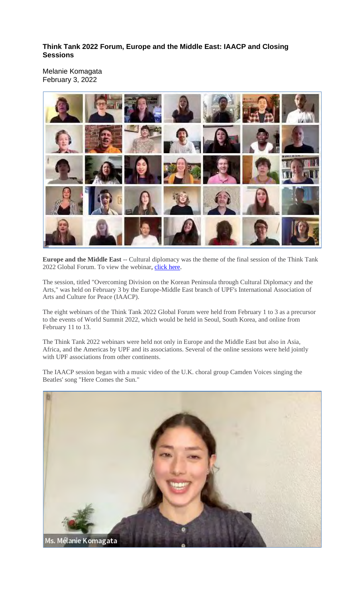## **Think Tank 2022 Forum, Europe and the Middle East: IAACP and Closing Sessions**

Melanie Komagata February 3, 2022



**Europe and the Middle East** -- Cultural diplomacy was the theme of the final session of the Think Tank 2022 Global Forum. To view the webinar, click here.

The session, titled "Overcoming Division on the Korean Peninsula through Cultural Diplomacy and the Arts," was held on February 3 by the Europe-Middle East branch of UPF's International Association of Arts and Culture for Peace (IAACP).

The eight webinars of the Think Tank 2022 Global Forum were held from February 1 to 3 as a precursor to the events of World Summit 2022, which would be held in Seoul, South Korea, and online from February 11 to 13.

The Think Tank 2022 webinars were held not only in Europe and the Middle East but also in Asia, Africa, and the Americas by UPF and its associations. Several of the online sessions were held jointly with UPF associations from other continents.

The IAACP session began with a music video of the U.K. choral group Camden Voices singing the Beatles' song "Here Comes the Sun."

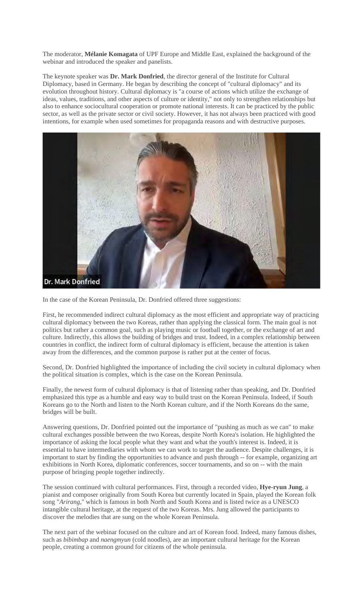The moderator, **Mélanie Komagata** of UPF Europe and Middle East, explained the background of the webinar and introduced the speaker and panelists.

The keynote speaker was **Dr. Mark Donfried**, the director general of the Institute for Cultural Diplomacy, based in Germany. He began by describing the concept of "cultural diplomacy" and its evolution throughout history. Cultural diplomacy is "a course of actions which utilize the exchange of ideas, values, traditions, and other aspects of culture or identity," not only to strengthen relationships but also to enhance sociocultural cooperation or promote national interests. It can be practiced by the public sector, as well as the private sector or civil society. However, it has not always been practiced with good intentions, for example when used sometimes for propaganda reasons and with destructive purposes.



In the case of the Korean Peninsula, Dr. Donfried offered three suggestions:

First, he recommended indirect cultural diplomacy as the most efficient and appropriate way of practicing cultural diplomacy between the two Koreas, rather than applying the classical form. The main goal is not politics but rather a common goal, such as playing music or football together, or the exchange of art and culture. Indirectly, this allows the building of bridges and trust. Indeed, in a complex relationship between countries in conflict, the indirect form of cultural diplomacy is efficient, because the attention is taken away from the differences, and the common purpose is rather put at the center of focus.

Second, Dr. Donfried highlighted the importance of including the civil society in cultural diplomacy when the political situation is complex, which is the case on the Korean Peninsula.

Finally, the newest form of cultural diplomacy is that of listening rather than speaking, and Dr. Donfried emphasized this type as a humble and easy way to build trust on the Korean Peninsula. Indeed, if South Koreans go to the North and listen to the North Korean culture, and if the North Koreans do the same, bridges will be built.

Answering questions, Dr. Donfried pointed out the importance of "pushing as much as we can" to make cultural exchanges possible between the two Koreas, despite North Korea's isolation. He highlighted the importance of asking the local people what they want and what the youth's interest is. Indeed, it is essential to have intermediaries with whom we can work to target the audience. Despite challenges, it is important to start by finding the opportunities to advance and push through -- for example, organizing art exhibitions in North Korea, diplomatic conferences, soccer tournaments, and so on -- with the main purpose of bringing people together indirectly.

The session continued with cultural performances. First, through a recorded video, **Hye-ryun Jung**, a pianist and composer originally from South Korea but currently located in Spain, played the Korean folk song "*Arirang*," which is famous in both North and South Korea and is listed twice as a UNESCO intangible cultural heritage, at the request of the two Koreas. Mrs. Jung allowed the participants to discover the melodies that are sung on the whole Korean Peninsula.

The next part of the webinar focused on the culture and art of Korean food. Indeed, many famous dishes, such as *bibimbap* and *naengmyun* (cold noodles), are an important cultural heritage for the Korean people, creating a common ground for citizens of the whole peninsula.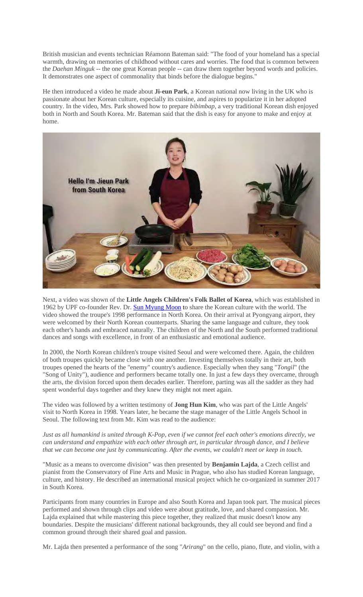British musician and events technician Réamonn Bateman said: "The food of your homeland has a special warmth, drawing on memories of childhood without cares and worries. The food that is common between the *Daehan Minguk* -- the one great Korean people -- can draw them together beyond words and policies. It demonstrates one aspect of commonality that binds before the dialogue begins."

He then introduced a video he made about **Ji-eun Park**, a Korean national now living in the UK who is passionate about her Korean culture, especially its cuisine, and aspires to popularize it in her adopted country. In the video, Mrs. Park showed how to prepare *bibimbap,* a very traditional Korean dish enjoyed both in North and South Korea. Mr. Bateman said that the dish is easy for anyone to make and enjoy at home.



Next, a video was shown of the **Little Angels Children's Folk Ballet of Korea**, which was established in 1962 by UPF co-founder Rev. Dr. **Sun Myung Moon** to share the Korean culture with the world. The video showed the troupe's 1998 performance in North Korea. On their arrival at Pyongyang airport, they were welcomed by their North Korean counterparts. Sharing the same language and culture, they took each other's hands and embraced naturally. The children of the North and the South performed traditional dances and songs with excellence, in front of an enthusiastic and emotional audience.

In 2000, the North Korean children's troupe visited Seoul and were welcomed there. Again, the children of both troupes quickly became close with one another. Investing themselves totally in their art, both troupes opened the hearts of the "enemy" country's audience. Especially when they sang "*Tongil*" (the "Song of Unity"), audience and performers became totally one. In just a few days they overcame, through the arts, the division forced upon them decades earlier. Therefore, parting was all the sadder as they had spent wonderful days together and they knew they might not meet again.

The video was followed by a written testimony of **Jong Hun Kim**, who was part of the Little Angels' visit to North Korea in 1998. Years later, he became the stage manager of the Little Angels School in Seoul. The following text from Mr. Kim was read to the audience:

Just as all humankind is united through K-Pop, even if we cannot feel each other's emotions directly, we *can understand and empathize with each other through art, in particular through dance, and I believe that we can become one just by communicating. After the events, we couldn't meet or keep in touch.*

"Music as a means to overcome division" was then presented by **Benjamin Lajda**, a Czech cellist and pianist from the Conservatory of Fine Arts and Music in Prague, who also has studied Korean language, culture, and history. He described an international musical project which he co-organized in summer 2017 in South Korea.

Participants from many countries in Europe and also South Korea and Japan took part. The musical pieces performed and shown through clips and video were about gratitude, love, and shared compassion. Mr. Lajda explained that while mastering this piece together, they realized that music doesn't know any boundaries. Despite the musicians' different national backgrounds, they all could see beyond and find a common ground through their shared goal and passion.

Mr. Lajda then presented a performance of the song "*Arirang*" on the cello, piano, flute, and violin, with a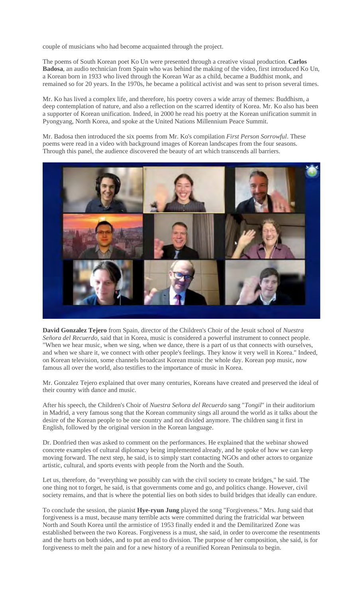couple of musicians who had become acquainted through the project.

The poems of South Korean poet Ko Un were presented through a creative visual production. **Carlos Badosa**, an audio technician from Spain who was behind the making of the video, first introduced Ko Un, a Korean born in 1933 who lived through the Korean War as a child, became a Buddhist monk, and remained so for 20 years. In the 1970s, he became a political activist and was sent to prison several times.

Mr. Ko has lived a complex life, and therefore, his poetry covers a wide array of themes: Buddhism, a deep contemplation of nature, and also a reflection on the scarred identity of Korea. Mr. Ko also has been a supporter of Korean unification. Indeed, in 2000 he read his poetry at the Korean unification summit in Pyongyang, North Korea, and spoke at the United Nations Millennium Peace Summit.

Mr. Badosa then introduced the six poems from Mr. Ko's compilation *First Person Sorrowful*. These poems were read in a video with background images of Korean landscapes from the four seasons. Through this panel, the audience discovered the beauty of art which transcends all barriers.



**David Gonzalez Tejero** from Spain, director of the Children's Choir of the Jesuit school of *Nuestra Señora del Recuerdo*, said that in Korea, music is considered a powerful instrument to connect people. "When we hear music, when we sing, when we dance, there is a part of us that connects with ourselves, and when we share it, we connect with other people's feelings. They know it very well in Korea." Indeed, on Korean television, some channels broadcast Korean music the whole day. Korean pop music, now famous all over the world, also testifies to the importance of music in Korea.

Mr. Gonzalez Tejero explained that over many centuries, Koreans have created and preserved the ideal of their country with dance and music.

After his speech, the Children's Choir of *Nuestra Señora del Recuerdo* sang "*Tongil*" in their auditorium in Madrid, a very famous song that the Korean community sings all around the world as it talks about the desire of the Korean people to be one country and not divided anymore. The children sang it first in English, followed by the original version in the Korean language.

Dr. Donfried then was asked to comment on the performances. He explained that the webinar showed concrete examples of cultural diplomacy being implemented already, and he spoke of how we can keep moving forward. The next step, he said, is to simply start contacting NGOs and other actors to organize artistic, cultural, and sports events with people from the North and the South.

Let us, therefore, do "everything we possibly can with the civil society to create bridges," he said. The one thing not to forget, he said, is that governments come and go, and politics change. However, civil society remains, and that is where the potential lies on both sides to build bridges that ideally can endure.

To conclude the session, the pianist **Hye-ryun Jung** played the song "Forgiveness." Mrs. Jung said that forgiveness is a must, because many terrible acts were committed during the fratricidal war between North and South Korea until the armistice of 1953 finally ended it and the Demilitarized Zone was established between the two Koreas. Forgiveness is a must, she said, in order to overcome the resentments and the hurts on both sides, and to put an end to division. The purpose of her composition, she said, is for forgiveness to melt the pain and for a new history of a reunified Korean Peninsula to begin.